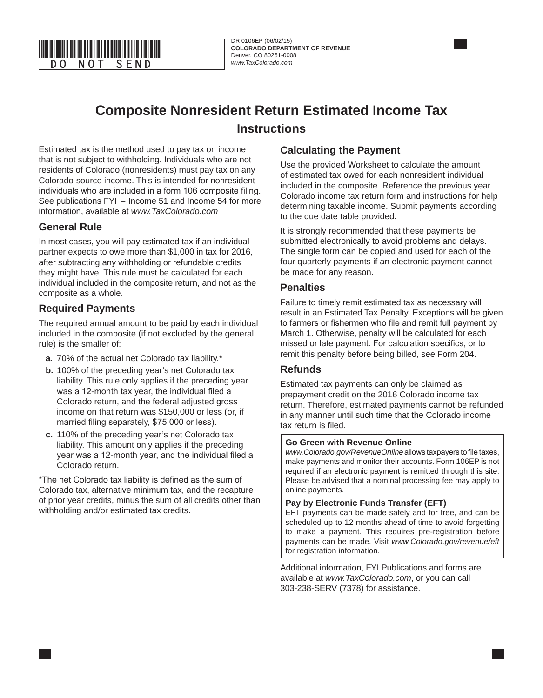

DR 0106EP (06/02/15) **COLORADO DEPARTMENT OF REVENUE** Denver, CO 80261-0008<br>www.TaxColorado.com

# **Composite Nonresident Return Estimated Income Tax Instructions**

Estimated tax is the method used to pay tax on income that is not subject to withholding. Individuals who are not residents of Colorado (nonresidents) must pay tax on any Colorado-source income. This is intended for nonresident individuals who are included in a form 106 composite filing. See publications FYI – Income 51 and Income 54 for more information, available at *www.TaxColorado.com* 

### **General Rule**

In most cases, you will pay estimated tax if an individual partner expects to owe more than \$1,000 in tax for 2016, after subtracting any withholding or refundable credits they might have. This rule must be calculated for each individual included in the composite return, and not as the composite as a whole.

### **Required Payments**

The required annual amount to be paid by each individual included in the composite (if not excluded by the general rule) is the smaller of:

- **a**. 70% of the actual net Colorado tax liability.\*
- **b.** 100% of the preceding year's net Colorado tax liability. This rule only applies if the preceding year was a 12-month tax year, the individual filed a Colorado return, and the federal adjusted gross income on that return was \$150,000 or less (or, if married filing separately, \$75,000 or less).
- **c.** 110% of the preceding year's net Colorado tax liability. This amount only applies if the preceding year was a 12-month year, and the individual filed a Colorado return.

\*The net Colorado tax liability is defined as the sum of Colorado tax, alternative minimum tax, and the recapture of prior year credits, minus the sum of all credits other than withholding and/or estimated tax credits.

### **Calculating the Payment**

Use the provided Worksheet to calculate the amount of estimated tax owed for each nonresident individual included in the composite. Reference the previous year Colorado income tax return form and instructions for help determining taxable income. Submit payments according to the due date table provided.

It is strongly recommended that these payments be submitted electronically to avoid problems and delays. The single form can be copied and used for each of the four quarterly payments if an electronic payment cannot be made for any reason.

#### **Penalties**

Failure to timely remit estimated tax as necessary will result in an Estimated Tax Penalty. Exceptions will be given to farmers or fishermen who file and remit full payment by March 1. Otherwise, penalty will be calculated for each missed or late payment. For calculation specifics, or to remit this penalty before being billed, see Form 204.

### **Refunds**

Estimated tax payments can only be claimed as prepayment credit on the 2016 Colorado income tax return. Therefore, estimated payments cannot be refunded in any manner until such time that the Colorado income tax return is filed.

#### **Go Green with Revenue Online**

*www.Colorado.gov/RevenueOnline* allows taxpayers to file taxes, make payments and monitor their accounts. Form 106EP is not required if an electronic payment is remitted through this site. Please be advised that a nominal processing fee may apply to online payments.

#### **Pay by Electronic Funds Transfer (EFT)**

EFT payments can be made safely and for free, and can be scheduled up to 12 months ahead of time to avoid forgetting to make a payment. This requires pre-registration before payments can be made. Visit *www.Colorado.gov/revenue/eft* for registration information.

Additional information, FYI Publications and forms are available at *www.TaxColorado.com*, or you can call 303-238-SERV (7378) for assistance.